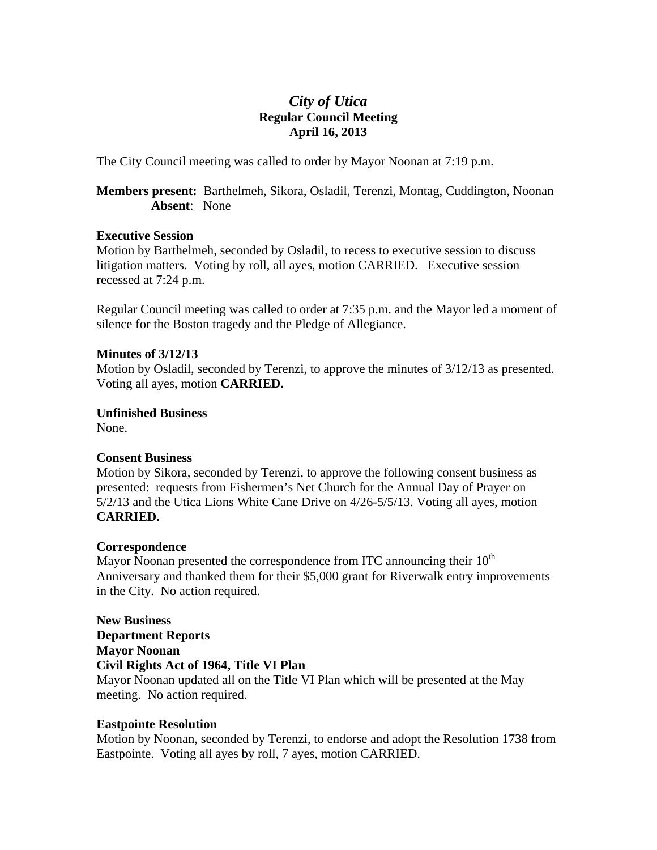# *City of Utica*  **Regular Council Meeting April 16, 2013**

The City Council meeting was called to order by Mayor Noonan at 7:19 p.m.

**Members present:** Barthelmeh, Sikora, Osladil, Terenzi, Montag, Cuddington, Noonan **Absent**: None

### **Executive Session**

Motion by Barthelmeh, seconded by Osladil, to recess to executive session to discuss litigation matters. Voting by roll, all ayes, motion CARRIED. Executive session recessed at 7:24 p.m.

Regular Council meeting was called to order at 7:35 p.m. and the Mayor led a moment of silence for the Boston tragedy and the Pledge of Allegiance.

### **Minutes of 3/12/13**

Motion by Osladil, seconded by Terenzi, to approve the minutes of 3/12/13 as presented. Voting all ayes, motion **CARRIED.** 

**Unfinished Business** 

None.

# **Consent Business**

Motion by Sikora, seconded by Terenzi, to approve the following consent business as presented: requests from Fishermen's Net Church for the Annual Day of Prayer on 5/2/13 and the Utica Lions White Cane Drive on 4/26-5/5/13. Voting all ayes, motion **CARRIED.** 

### **Correspondence**

Mayor Noonan presented the correspondence from ITC announcing their  $10<sup>th</sup>$ Anniversary and thanked them for their \$5,000 grant for Riverwalk entry improvements in the City. No action required.

# **New Business Department Reports Mayor Noonan Civil Rights Act of 1964, Title VI Plan**

Mayor Noonan updated all on the Title VI Plan which will be presented at the May meeting. No action required.

### **Eastpointe Resolution**

Motion by Noonan, seconded by Terenzi, to endorse and adopt the Resolution 1738 from Eastpointe. Voting all ayes by roll, 7 ayes, motion CARRIED.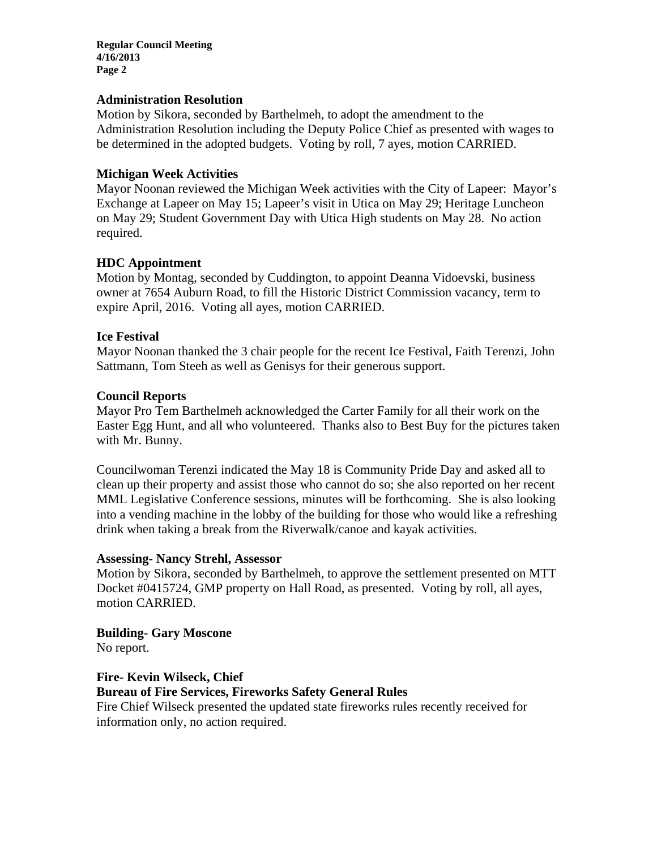**Regular Council Meeting 4/16/2013 Page 2** 

### **Administration Resolution**

Motion by Sikora, seconded by Barthelmeh, to adopt the amendment to the Administration Resolution including the Deputy Police Chief as presented with wages to be determined in the adopted budgets. Voting by roll, 7 ayes, motion CARRIED.

### **Michigan Week Activities**

Mayor Noonan reviewed the Michigan Week activities with the City of Lapeer: Mayor's Exchange at Lapeer on May 15; Lapeer's visit in Utica on May 29; Heritage Luncheon on May 29; Student Government Day with Utica High students on May 28. No action required.

### **HDC Appointment**

Motion by Montag, seconded by Cuddington, to appoint Deanna Vidoevski, business owner at 7654 Auburn Road, to fill the Historic District Commission vacancy, term to expire April, 2016. Voting all ayes, motion CARRIED.

### **Ice Festival**

Mayor Noonan thanked the 3 chair people for the recent Ice Festival, Faith Terenzi, John Sattmann, Tom Steeh as well as Genisys for their generous support.

### **Council Reports**

Mayor Pro Tem Barthelmeh acknowledged the Carter Family for all their work on the Easter Egg Hunt, and all who volunteered. Thanks also to Best Buy for the pictures taken with Mr. Bunny.

Councilwoman Terenzi indicated the May 18 is Community Pride Day and asked all to clean up their property and assist those who cannot do so; she also reported on her recent MML Legislative Conference sessions, minutes will be forthcoming. She is also looking into a vending machine in the lobby of the building for those who would like a refreshing drink when taking a break from the Riverwalk/canoe and kayak activities.

### **Assessing- Nancy Strehl, Assessor**

Motion by Sikora, seconded by Barthelmeh, to approve the settlement presented on MTT Docket #0415724, GMP property on Hall Road, as presented. Voting by roll, all ayes, motion CARRIED.

**Building- Gary Moscone**  No report.

### **Fire- Kevin Wilseck, Chief**

### **Bureau of Fire Services, Fireworks Safety General Rules**

Fire Chief Wilseck presented the updated state fireworks rules recently received for information only, no action required.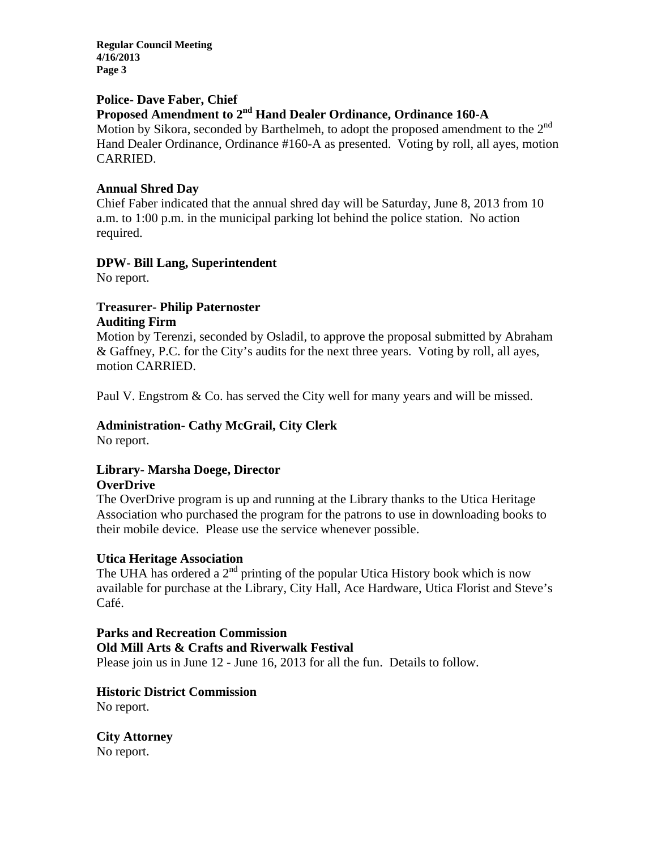**Regular Council Meeting 4/16/2013 Page 3** 

### **Police- Dave Faber, Chief**

# **Proposed Amendment to 2nd Hand Dealer Ordinance, Ordinance 160-A**

Motion by Sikora, seconded by Barthelmeh, to adopt the proposed amendment to the  $2<sup>nd</sup>$ Hand Dealer Ordinance, Ordinance #160-A as presented. Voting by roll, all ayes, motion CARRIED.

### **Annual Shred Day**

Chief Faber indicated that the annual shred day will be Saturday, June 8, 2013 from 10 a.m. to 1:00 p.m. in the municipal parking lot behind the police station. No action required.

## **DPW- Bill Lang, Superintendent**

No report.

# **Treasurer- Philip Paternoster Auditing Firm**

Motion by Terenzi, seconded by Osladil, to approve the proposal submitted by Abraham & Gaffney, P.C. for the City's audits for the next three years. Voting by roll, all ayes, motion CARRIED.

Paul V. Engstrom & Co. has served the City well for many years and will be missed.

### **Administration- Cathy McGrail, City Clerk**

No report.

### **Library- Marsha Doege, Director OverDrive**

The OverDrive program is up and running at the Library thanks to the Utica Heritage Association who purchased the program for the patrons to use in downloading books to their mobile device. Please use the service whenever possible.

### **Utica Heritage Association**

The UHA has ordered a  $2<sup>nd</sup>$  printing of the popular Utica History book which is now available for purchase at the Library, City Hall, Ace Hardware, Utica Florist and Steve's Café.

**Parks and Recreation Commission Old Mill Arts & Crafts and Riverwalk Festival**  Please join us in June 12 - June 16, 2013 for all the fun. Details to follow.

# **Historic District Commission**

No report.

**City Attorney**  No report.